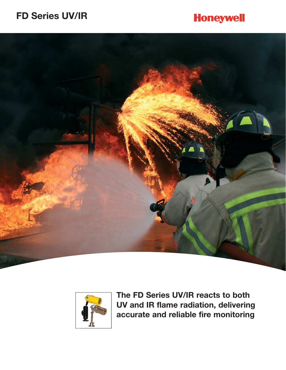# **FD Series UV/IR**

# **Honeywell**





**The FD Series UV/IR reacts to both UV and IR flame radiation, delivering accurate and reliable fire monitoring**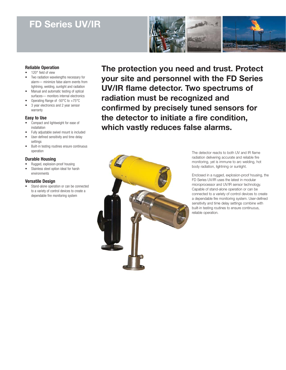# **FD Series UV/IR**



# **Reliable Operation**

- 120° field of view
- Two radiation wavelengths necessary for alarm— minimize false alarm events from lightning, welding, sunlight and radiation
- Manual and automatic testing of optical surfaces— monitors internal electronics
- Operating Range of -50°C to +75°C
- 3 year electronics and 2 year sensor warranty

### **Easy to Use**

- Compact and lightweight for ease of installation
- Fully adjustable swivel mount is included
- User-defined sensitivity and time delay settings
- Built-in testing routines ensure continuous operation

# **Durable Housing**

- Rugged, explosion-proof housing
- Stainless steel option ideal for harsh environments

# **Versatile Design**

• Stand-alone operation or can be connected to a variety of control devices to create a dependable fire monitoring system

**The protection you need and trust. Protect your site and personnel with the FD Series UV/IR flame detector. Two spectrums of radiation must be recognized and confirmed by precisely tuned sensors for the detector to initiate a fire condition, which vastly reduces false alarms.** 



The detector reacts to both UV and IR flame radiation delivering accurate and reliable fire monitoring, yet is immune to arc welding, hot body radiation, lightning or sunlight.

Enclosed in a rugged, explosion-proof housing, the FD Series UV/IR uses the latest in modular microprocessor and UV/IR sensor technology. Capable of stand-alone operation or can be connected to a variety of control devices to create a dependable fire monitoring system. User-defined sensitivity and time delay settings combine with built-in testing routines to ensure continuous, reliable operation.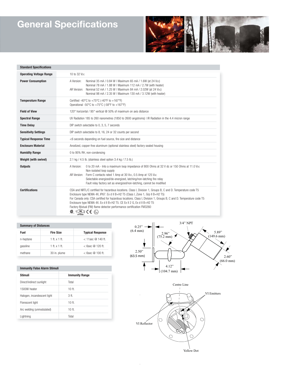# **General Specifications**



| <b>Standard Specifications</b> |                                                                                                                                                                                                                                                                                                                                                                                                                                                                                 |  |  |
|--------------------------------|---------------------------------------------------------------------------------------------------------------------------------------------------------------------------------------------------------------------------------------------------------------------------------------------------------------------------------------------------------------------------------------------------------------------------------------------------------------------------------|--|--|
| <b>Operating Voltage Range</b> | 10 to 32 Voc                                                                                                                                                                                                                                                                                                                                                                                                                                                                    |  |  |
| <b>Power Consumption</b>       | A Version:<br>Nominal 35 mA / 0.84 W   Maximum 65 mA / 1.6W (at 24 Vpc)<br>Nominal 78 mA / 1.88 W   Maximum 112 mA / 2.7W (with heater)<br>AR Version: Nominal 52 mA / 1.25 W   Maximum 84 mA / 2.02W (at 24 Voc)<br>Nominal 98 mA / 2.35 W   Maximum 130 mA / 3.12W (with heater)                                                                                                                                                                                              |  |  |
| <b>Temperature Range</b>       | Certified -40°C to +75°C (-40°F to +167°F)<br>Operational -50 $^{\circ}$ C to +75 $^{\circ}$ C (-58 $^{\circ}$ F to +167 $^{\circ}$ F)                                                                                                                                                                                                                                                                                                                                          |  |  |
| <b>Field of View</b>           | 120° horizontal / 95° vertical @ 50% of maximum on axis distance                                                                                                                                                                                                                                                                                                                                                                                                                |  |  |
| <b>Spectral Range</b>          | UV Radiation 185 to 260 nanometres (1850 to 2600 angstroms)   IR Radiation in the 4.4 micron range                                                                                                                                                                                                                                                                                                                                                                              |  |  |
| <b>Time Delay</b>              | DIP switch selectable to 0, 3, 5, 7 seconds                                                                                                                                                                                                                                                                                                                                                                                                                                     |  |  |
| <b>Sensitivity Settings</b>    | DIP switch selectable to 8, 16, 24 or 32 counts per second                                                                                                                                                                                                                                                                                                                                                                                                                      |  |  |
| <b>Typical Response Time</b>   | <6 seconds depending on fuel source, fire size and distance                                                                                                                                                                                                                                                                                                                                                                                                                     |  |  |
| <b>Enclosure Material</b>      | Anodized, copper-free aluminum (optional stainless steel) factory sealed housing                                                                                                                                                                                                                                                                                                                                                                                                |  |  |
| <b>Humidity Range</b>          | 0 to 95% RH, non-condensing                                                                                                                                                                                                                                                                                                                                                                                                                                                     |  |  |
| Weight (with swivel)           | 2.1 kg / 4.5 lb. (stainless steel option 3.4 kg / 7.5 lb.)                                                                                                                                                                                                                                                                                                                                                                                                                      |  |  |
| <b>Outputs</b>                 | 0 to 20 mA - Into a maximum loop impedance of 800 Ohms at 32 V dc or 150 Ohms at 11.0 Vpc<br>A Version:<br>Non-isolated loop supply<br>AR Version: Form C contacts rated 1 Amp at 30 Vpc, 0.5 Amp at 125 VAC<br>Selectable energized/de-energized, latching/non-latching fire relay<br>Fault relay factory set as energized/non-latching, cannot be modified                                                                                                                    |  |  |
| <b>Certifications</b>          | CSA and NRTL/C certified for hazardous locations. Class I, Division 1, Groups B, C and D. Temperature code T5<br>Enclosure type NEMA 4X, IP67. Ex d II B+H2 T5 (Class I, Zone 1, Grp II B+H2 T5)<br>For Canada only: CSA certified for hazardous locations. Class I, Division 1, Groups B, C and D. Temperature code T5<br>Enclosure type NEMA 4X. Ex d II B+H2 T5. CE Ex II 2 G, Ex d II B+H2 T5<br>Factory Mutual (FM) flame detector performance certification FM3260<br>® ୍ |  |  |

### **Summary of Distances**

| Fuel      | <b>Fire Size</b> | <b>Typical Response</b> |
|-----------|------------------|-------------------------|
| n-heptane | 1 ft x 1 ft      | $<$ 11sec $@$ 140 ft.   |
| qasoline  | 1 ft x 1 ft      | $<$ 6sec $@$ 120 ft.    |
| methane   | 30 in. plume     | $<$ 6sec $@$ 100 ft.    |

### **Immunity False Alarm Stimuli**

| Stimuli                     | <b>Immunity Range</b> |
|-----------------------------|-----------------------|
| Direct/indirect sunlight    | Total                 |
| 1500W heater                | $10$ ft.              |
| Halogen, incandescent light | 3 ft.                 |
| Florescent light            | $10$ ft.              |
| Arc welding (unmodulated)   | $10$ ft.              |
| Lightning                   | Total                 |